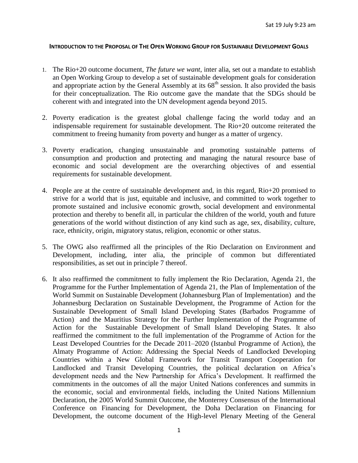#### **INTRODUCTION TO THE PROPOSAL OF THE OPEN WORKING GROUP FOR SUSTAINABLE DEVELOPMENT GOALS**

- 1. The Rio+20 outcome document, *The future we want*, inter alia, set out a mandate to establish an Open Working Group to develop a set of sustainable development goals for consideration and appropriate action by the General Assembly at its  $68<sup>th</sup>$  session. It also provided the basis for their conceptualization. The Rio outcome gave the mandate that the SDGs should be coherent with and integrated into the UN development agenda beyond 2015.
- 2. Poverty eradication is the greatest global challenge facing the world today and an indispensable requirement for sustainable development. The Rio+20 outcome reiterated the commitment to freeing humanity from poverty and hunger as a matter of urgency.
- 3. Poverty eradication, changing unsustainable and promoting sustainable patterns of consumption and production and protecting and managing the natural resource base of economic and social development are the overarching objectives of and essential requirements for sustainable development.
- 4. People are at the centre of sustainable development and, in this regard, Rio+20 promised to strive for a world that is just, equitable and inclusive, and committed to work together to promote sustained and inclusive economic growth, social development and environmental protection and thereby to benefit all, in particular the children of the world, youth and future generations of the world without distinction of any kind such as age, sex, disability, culture, race, ethnicity, origin, migratory status, religion, economic or other status.
- 5. The OWG also reaffirmed all the principles of the Rio Declaration on Environment and Development, including, inter alia, the principle of common but differentiated responsibilities, as set out in principle 7 thereof.
- 6. It also reaffirmed the commitment to fully implement the Rio Declaration, Agenda 21, the Programme for the Further Implementation of Agenda 21, the Plan of Implementation of the World Summit on Sustainable Development (Johannesburg Plan of Implementation) and the Johannesburg Declaration on Sustainable Development, the Programme of Action for the Sustainable Development of Small Island Developing States (Barbados Programme of Action) and the Mauritius Strategy for the Further Implementation of the Programme of Action for the Sustainable Development of Small Island Developing States. It also reaffirmed the commitment to the full implementation of the Programme of Action for the Least Developed Countries for the Decade 2011–2020 (Istanbul Programme of Action), the Almaty Programme of Action: Addressing the Special Needs of Landlocked Developing Countries within a New Global Framework for Transit Transport Cooperation for Landlocked and Transit Developing Countries, the political declaration on Africa's development needs and the New Partnership for Africa's Development. It reaffirmed the commitments in the outcomes of all the major United Nations conferences and summits in the economic, social and environmental fields, including the United Nations Millennium Declaration, the 2005 World Summit Outcome, the Monterrey Consensus of the International Conference on Financing for Development, the Doha Declaration on Financing for Development, the outcome document of the High-level Plenary Meeting of the General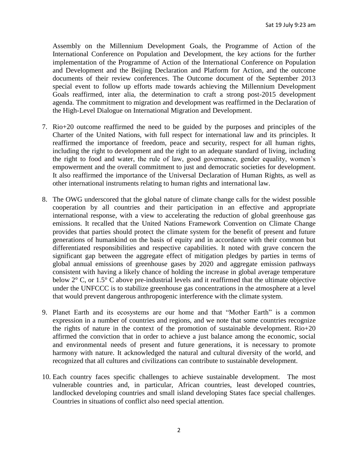Assembly on the Millennium Development Goals, the Programme of Action of the International Conference on Population and Development, the key actions for the further implementation of the Programme of Action of the International Conference on Population and Development and the Beijing Declaration and Platform for Action, and the outcome documents of their review conferences. The Outcome document of the September 2013 special event to follow up efforts made towards achieving the Millennium Development Goals reaffirmed, inter alia, the determination to craft a strong post-2015 development agenda. The commitment to migration and development was reaffirmed in the Declaration of the High-Level Dialogue on International Migration and Development.

- 7. Rio+20 outcome reaffirmed the need to be guided by the purposes and principles of the Charter of the United Nations, with full respect for international law and its principles. It reaffirmed the importance of freedom, peace and security, respect for all human rights, including the right to development and the right to an adequate standard of living, including the right to food and water, the rule of law, good governance, gender equality, women's empowerment and the overall commitment to just and democratic societies for development. It also reaffirmed the importance of the Universal Declaration of Human Rights, as well as other international instruments relating to human rights and international law.
- 8. The OWG underscored that the global nature of climate change calls for the widest possible cooperation by all countries and their participation in an effective and appropriate international response, with a view to accelerating the reduction of global greenhouse gas emissions. It recalled that the United Nations Framework Convention on Climate Change provides that parties should protect the climate system for the benefit of present and future generations of humankind on the basis of equity and in accordance with their common but differentiated responsibilities and respective capabilities. It noted with grave concern the significant gap between the aggregate effect of mitigation pledges by parties in terms of global annual emissions of greenhouse gases by 2020 and aggregate emission pathways consistent with having a likely chance of holding the increase in global average temperature below 2° C, or 1.5° C above pre-industrial levels and it reaffirmed that the ultimate objective under the UNFCCC is to stabilize greenhouse gas concentrations in the atmosphere at a level that would prevent dangerous anthropogenic interference with the climate system.
- 9. Planet Earth and its ecosystems are our home and that "Mother Earth" is a common expression in a number of countries and regions, and we note that some countries recognize the rights of nature in the context of the promotion of sustainable development. Rio+20 affirmed the conviction that in order to achieve a just balance among the economic, social and environmental needs of present and future generations, it is necessary to promote harmony with nature. It acknowledged the natural and cultural diversity of the world, and recognized that all cultures and civilizations can contribute to sustainable development.
- 10. Each country faces specific challenges to achieve sustainable development. The most vulnerable countries and, in particular, African countries, least developed countries, landlocked developing countries and small island developing States face special challenges. Countries in situations of conflict also need special attention.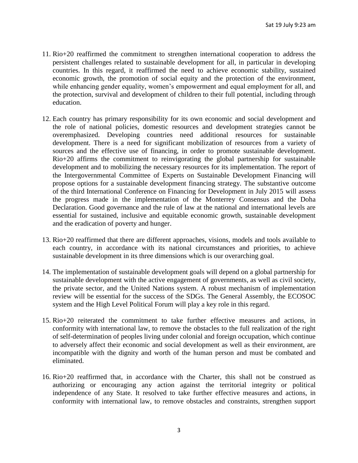- 11. Rio+20 reaffirmed the commitment to strengthen international cooperation to address the persistent challenges related to sustainable development for all, in particular in developing countries. In this regard, it reaffirmed the need to achieve economic stability, sustained economic growth, the promotion of social equity and the protection of the environment, while enhancing gender equality, women's empowerment and equal employment for all, and the protection, survival and development of children to their full potential, including through education.
- 12. Each country has primary responsibility for its own economic and social development and the role of national policies, domestic resources and development strategies cannot be overemphasized. Developing countries need additional resources for sustainable development. There is a need for significant mobilization of resources from a variety of sources and the effective use of financing, in order to promote sustainable development. Rio+20 affirms the commitment to reinvigorating the global partnership for sustainable development and to mobilizing the necessary resources for its implementation. The report of the Intergovernmental Committee of Experts on Sustainable Development Financing will propose options for a sustainable development financing strategy. The substantive outcome of the third International Conference on Financing for Development in July 2015 will assess the progress made in the implementation of the Monterrey Consensus and the Doha Declaration. Good governance and the rule of law at the national and international levels are essential for sustained, inclusive and equitable economic growth, sustainable development and the eradication of poverty and hunger.
- 13. Rio+20 reaffirmed that there are different approaches, visions, models and tools available to each country, in accordance with its national circumstances and priorities, to achieve sustainable development in its three dimensions which is our overarching goal.
- 14. The implementation of sustainable development goals will depend on a global partnership for sustainable development with the active engagement of governments, as well as civil society, the private sector, and the United Nations system. A robust mechanism of implementation review will be essential for the success of the SDGs. The General Assembly, the ECOSOC system and the High Level Political Forum will play a key role in this regard.
- 15. Rio+20 reiterated the commitment to take further effective measures and actions, in conformity with international law, to remove the obstacles to the full realization of the right of self-determination of peoples living under colonial and foreign occupation, which continue to adversely affect their economic and social development as well as their environment, are incompatible with the dignity and worth of the human person and must be combated and eliminated.
- 16. Rio+20 reaffirmed that, in accordance with the Charter, this shall not be construed as authorizing or encouraging any action against the territorial integrity or political independence of any State. It resolved to take further effective measures and actions, in conformity with international law, to remove obstacles and constraints, strengthen support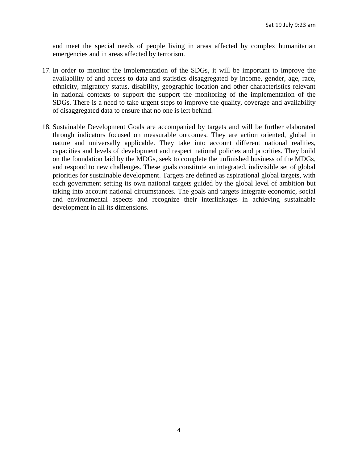and meet the special needs of people living in areas affected by complex humanitarian emergencies and in areas affected by terrorism.

- 17. In order to monitor the implementation of the SDGs, it will be important to improve the availability of and access to data and statistics disaggregated by income, gender, age, race, ethnicity, migratory status, disability, geographic location and other characteristics relevant in national contexts to support the support the monitoring of the implementation of the SDGs. There is a need to take urgent steps to improve the quality, coverage and availability of disaggregated data to ensure that no one is left behind.
- 18. Sustainable Development Goals are accompanied by targets and will be further elaborated through indicators focused on measurable outcomes. They are action oriented, global in nature and universally applicable. They take into account different national realities, capacities and levels of development and respect national policies and priorities. They build on the foundation laid by the MDGs, seek to complete the unfinished business of the MDGs, and respond to new challenges. These goals constitute an integrated, indivisible set of global priorities for sustainable development. Targets are defined as aspirational global targets, with each government setting its own national targets guided by the global level of ambition but taking into account national circumstances. The goals and targets integrate economic, social and environmental aspects and recognize their interlinkages in achieving sustainable development in all its dimensions.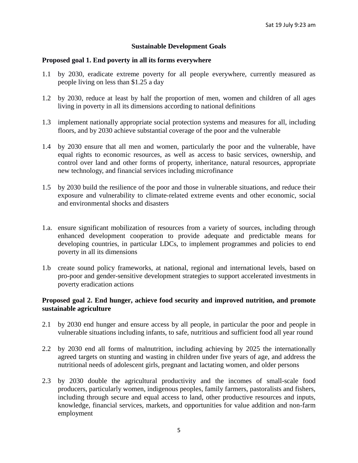#### **Sustainable Development Goals**

#### **Proposed goal 1. End poverty in all its forms everywhere**

- 1.1 by 2030, eradicate extreme poverty for all people everywhere, currently measured as people living on less than \$1.25 a day
- 1.2 by 2030, reduce at least by half the proportion of men, women and children of all ages living in poverty in all its dimensions according to national definitions
- 1.3 implement nationally appropriate social protection systems and measures for all, including floors, and by 2030 achieve substantial coverage of the poor and the vulnerable
- 1.4 by 2030 ensure that all men and women, particularly the poor and the vulnerable, have equal rights to economic resources, as well as access to basic services, ownership, and control over land and other forms of property, inheritance, natural resources, appropriate new technology, and financial services including microfinance
- 1.5 by 2030 build the resilience of the poor and those in vulnerable situations, and reduce their exposure and vulnerability to climate-related extreme events and other economic, social and environmental shocks and disasters
- 1.a. ensure significant mobilization of resources from a variety of sources, including through enhanced development cooperation to provide adequate and predictable means for developing countries, in particular LDCs, to implement programmes and policies to end poverty in all its dimensions
- 1.b create sound policy frameworks, at national, regional and international levels, based on pro-poor and gender-sensitive development strategies to support accelerated investments in poverty eradication actions

# **Proposed goal 2. End hunger, achieve food security and improved nutrition, and promote sustainable agriculture**

- 2.1 by 2030 end hunger and ensure access by all people, in particular the poor and people in vulnerable situations including infants, to safe, nutritious and sufficient food all year round
- 2.2 by 2030 end all forms of malnutrition, including achieving by 2025 the internationally agreed targets on stunting and wasting in children under five years of age, and address the nutritional needs of adolescent girls, pregnant and lactating women, and older persons
- 2.3 by 2030 double the agricultural productivity and the incomes of small-scale food producers, particularly women, indigenous peoples, family farmers, pastoralists and fishers, including through secure and equal access to land, other productive resources and inputs, knowledge, financial services, markets, and opportunities for value addition and non-farm employment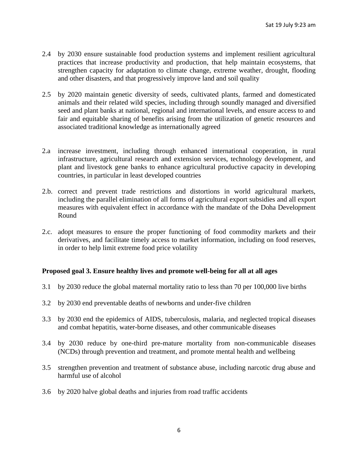- 2.4 by 2030 ensure sustainable food production systems and implement resilient agricultural practices that increase productivity and production, that help maintain ecosystems, that strengthen capacity for adaptation to climate change, extreme weather, drought, flooding and other disasters, and that progressively improve land and soil quality
- 2.5 by 2020 maintain genetic diversity of seeds, cultivated plants, farmed and domesticated animals and their related wild species, including through soundly managed and diversified seed and plant banks at national, regional and international levels, and ensure access to and fair and equitable sharing of benefits arising from the utilization of genetic resources and associated traditional knowledge as internationally agreed
- 2.a increase investment, including through enhanced international cooperation, in rural infrastructure, agricultural research and extension services, technology development, and plant and livestock gene banks to enhance agricultural productive capacity in developing countries, in particular in least developed countries
- 2.b. correct and prevent trade restrictions and distortions in world agricultural markets, including the parallel elimination of all forms of agricultural export subsidies and all export measures with equivalent effect in accordance with the mandate of the Doha Development Round
- 2.c. adopt measures to ensure the proper functioning of food commodity markets and their derivatives, and facilitate timely access to market information, including on food reserves, in order to help limit extreme food price volatility

#### **Proposed goal 3. Ensure healthy lives and promote well-being for all at all ages**

- 3.1 by 2030 reduce the global maternal mortality ratio to less than 70 per 100,000 live births
- 3.2 by 2030 end preventable deaths of newborns and under-five children
- 3.3 by 2030 end the epidemics of AIDS, tuberculosis, malaria, and neglected tropical diseases and combat hepatitis, water-borne diseases, and other communicable diseases
- 3.4 by 2030 reduce by one-third pre-mature mortality from non-communicable diseases (NCDs) through prevention and treatment, and promote mental health and wellbeing
- 3.5 strengthen prevention and treatment of substance abuse, including narcotic drug abuse and harmful use of alcohol
- 3.6 by 2020 halve global deaths and injuries from road traffic accidents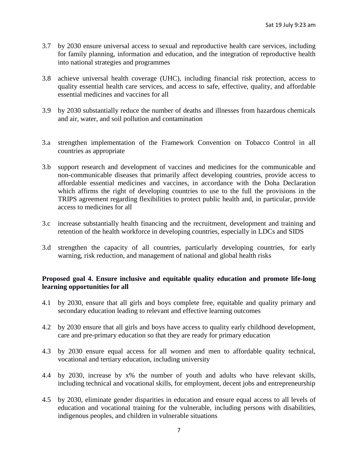- 3.7 by 2030 ensure universal access to sexual and reproductive health care services, including for family planning, information and education, and the integration of reproductive health into national strategies and programmes
- 3.8 achieve universal health coverage (UHC), including financial risk protection, access to quality essential health care services, and access to safe, effective, quality, and affordable essential medicines and vaccines for all
- 3.9 by 2030 substantially reduce the number of deaths and illnesses from hazardous chemicals and air, water, and soil pollution and contamination
- 3.a strengthen implementation of the Framework Convention on Tobacco Control in all countries as appropriate
- 3.b support research and development of vaccines and medicines for the communicable and non-communicable diseases that primarily affect developing countries, provide access to affordable essential medicines and vaccines, in accordance with the Doha Declaration which affirms the right of developing countries to use to the full the provisions in the TRIPS agreement regarding flexibilities to protect public health and, in particular, provide access to medicines for all
- 3.c increase substantially health financing and the recruitment, development and training and retention of the health workforce in developing countries, especially in LDCs and SIDS
- 3.d strengthen the capacity of all countries, particularly developing countries, for early warning, risk reduction, and management of national and global health risks

### **Proposed goal 4. Ensure inclusive and equitable quality education and promote life-long learning opportunities for all**

- 4.1 by 2030, ensure that all girls and boys complete free, equitable and quality primary and secondary education leading to relevant and effective learning outcomes
- 4.2 by 2030 ensure that all girls and boys have access to quality early childhood development, care and pre-primary education so that they are ready for primary education
- 4.3 by 2030 ensure equal access for all women and men to affordable quality technical, vocational and tertiary education, including university
- 4.4 by 2030, increase by x% the number of youth and adults who have relevant skills, including technical and vocational skills, for employment, decent jobs and entrepreneurship
- 4.5 by 2030, eliminate gender disparities in education and ensure equal access to all levels of education and vocational training for the vulnerable, including persons with disabilities, indigenous peoples, and children in vulnerable situations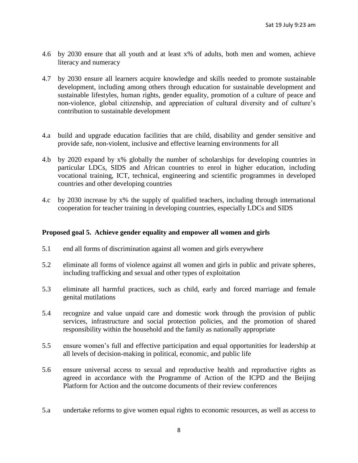- 4.6 by 2030 ensure that all youth and at least x% of adults, both men and women, achieve literacy and numeracy
- 4.7 by 2030 ensure all learners acquire knowledge and skills needed to promote sustainable development, including among others through education for sustainable development and sustainable lifestyles, human rights, gender equality, promotion of a culture of peace and non-violence, global citizenship, and appreciation of cultural diversity and of culture's contribution to sustainable development
- 4.a build and upgrade education facilities that are child, disability and gender sensitive and provide safe, non-violent, inclusive and effective learning environments for all
- 4.b by 2020 expand by x% globally the number of scholarships for developing countries in particular LDCs, SIDS and African countries to enrol in higher education, including vocational training, ICT, technical, engineering and scientific programmes in developed countries and other developing countries
- 4.c by 2030 increase by x% the supply of qualified teachers, including through international cooperation for teacher training in developing countries, especially LDCs and SIDS

#### **Proposed goal 5. Achieve gender equality and empower all women and girls**

- 5.1 end all forms of discrimination against all women and girls everywhere
- 5.2 eliminate all forms of violence against all women and girls in public and private spheres, including trafficking and sexual and other types of exploitation
- 5.3 eliminate all harmful practices, such as child, early and forced marriage and female genital mutilations
- 5.4 recognize and value unpaid care and domestic work through the provision of public services, infrastructure and social protection policies, and the promotion of shared responsibility within the household and the family as nationally appropriate
- 5.5 ensure women's full and effective participation and equal opportunities for leadership at all levels of decision-making in political, economic, and public life
- 5.6 ensure universal access to sexual and reproductive health and reproductive rights as agreed in accordance with the Programme of Action of the ICPD and the Beijing Platform for Action and the outcome documents of their review conferences
- 5.a undertake reforms to give women equal rights to economic resources, as well as access to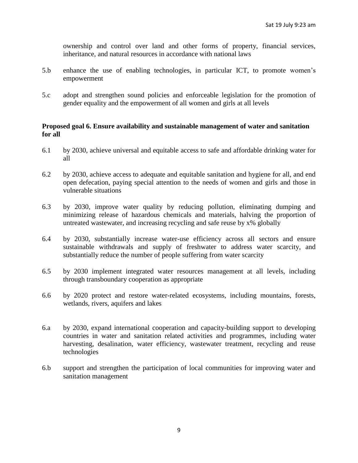ownership and control over land and other forms of property, financial services, inheritance, and natural resources in accordance with national laws

- 5.b enhance the use of enabling technologies, in particular ICT, to promote women's empowerment
- 5.c adopt and strengthen sound policies and enforceable legislation for the promotion of gender equality and the empowerment of all women and girls at all levels

#### **Proposed goal 6. Ensure availability and sustainable management of water and sanitation for all**

- 6.1 by 2030, achieve universal and equitable access to safe and affordable drinking water for all
- 6.2 by 2030, achieve access to adequate and equitable sanitation and hygiene for all, and end open defecation, paying special attention to the needs of women and girls and those in vulnerable situations
- 6.3 by 2030, improve water quality by reducing pollution, eliminating dumping and minimizing release of hazardous chemicals and materials, halving the proportion of untreated wastewater, and increasing recycling and safe reuse by x% globally
- 6.4 by 2030, substantially increase water-use efficiency across all sectors and ensure sustainable withdrawals and supply of freshwater to address water scarcity, and substantially reduce the number of people suffering from water scarcity
- 6.5 by 2030 implement integrated water resources management at all levels, including through transboundary cooperation as appropriate
- 6.6 by 2020 protect and restore water-related ecosystems, including mountains, forests, wetlands, rivers, aquifers and lakes
- 6.a by 2030, expand international cooperation and capacity-building support to developing countries in water and sanitation related activities and programmes, including water harvesting, desalination, water efficiency, wastewater treatment, recycling and reuse technologies
- 6.b support and strengthen the participation of local communities for improving water and sanitation management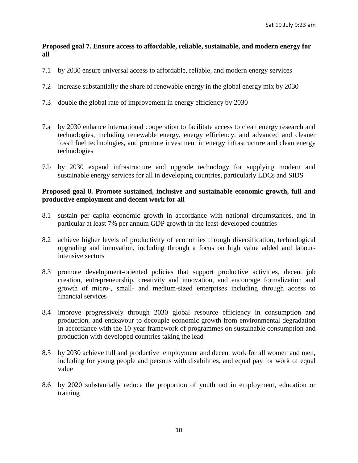## **Proposed goal 7. Ensure access to affordable, reliable, sustainable, and modern energy for all**

- 7.1 by 2030 ensure universal access to affordable, reliable, and modern energy services
- 7.2 increase substantially the share of renewable energy in the global energy mix by 2030
- 7.3 double the global rate of improvement in energy efficiency by 2030
- 7.a by 2030 enhance international cooperation to facilitate access to clean energy research and technologies, including renewable energy, energy efficiency, and advanced and cleaner fossil fuel technologies, and promote investment in energy infrastructure and clean energy technologies
- 7.b by 2030 expand infrastructure and upgrade technology for supplying modern and sustainable energy services for all in developing countries, particularly LDCs and SIDS

### **Proposed goal 8. Promote sustained, inclusive and sustainable economic growth, full and productive employment and decent work for all**

- 8.1 sustain per capita economic growth in accordance with national circumstances, and in particular at least 7% per annum GDP growth in the least-developed countries
- 8.2 achieve higher levels of productivity of economies through diversification, technological upgrading and innovation, including through a focus on high value added and labourintensive sectors
- 8.3 promote development-oriented policies that support productive activities, decent job creation, entrepreneurship, creativity and innovation, and encourage formalization and growth of micro-, small- and medium-sized enterprises including through access to financial services
- 8.4 improve progressively through 2030 global resource efficiency in consumption and production, and endeavour to decouple economic growth from environmental degradation in accordance with the 10-year framework of programmes on sustainable consumption and production with developed countries taking the lead
- 8.5 by 2030 achieve full and productive employment and decent work for all women and men, including for young people and persons with disabilities, and equal pay for work of equal value
- 8.6 by 2020 substantially reduce the proportion of youth not in employment, education or training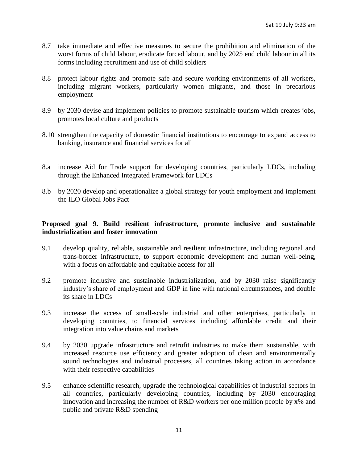- 8.7 take immediate and effective measures to secure the prohibition and elimination of the worst forms of child labour, eradicate forced labour, and by 2025 end child labour in all its forms including recruitment and use of child soldiers
- 8.8 protect labour rights and promote safe and secure working environments of all workers, including migrant workers, particularly women migrants, and those in precarious employment
- 8.9 by 2030 devise and implement policies to promote sustainable tourism which creates jobs, promotes local culture and products
- 8.10 strengthen the capacity of domestic financial institutions to encourage to expand access to banking, insurance and financial services for all
- 8.a increase Aid for Trade support for developing countries, particularly LDCs, including through the Enhanced Integrated Framework for LDCs
- 8.b by 2020 develop and operationalize a global strategy for youth employment and implement the ILO Global Jobs Pact

# **Proposed goal 9. Build resilient infrastructure, promote inclusive and sustainable industrialization and foster innovation**

- 9.1 develop quality, reliable, sustainable and resilient infrastructure, including regional and trans-border infrastructure, to support economic development and human well-being, with a focus on affordable and equitable access for all
- 9.2 promote inclusive and sustainable industrialization, and by 2030 raise significantly industry's share of employment and GDP in line with national circumstances, and double its share in LDCs
- 9.3 increase the access of small-scale industrial and other enterprises, particularly in developing countries, to financial services including affordable credit and their integration into value chains and markets
- 9.4 by 2030 upgrade infrastructure and retrofit industries to make them sustainable, with increased resource use efficiency and greater adoption of clean and environmentally sound technologies and industrial processes, all countries taking action in accordance with their respective capabilities
- 9.5 enhance scientific research, upgrade the technological capabilities of industrial sectors in all countries, particularly developing countries, including by 2030 encouraging innovation and increasing the number of R&D workers per one million people by x% and public and private R&D spending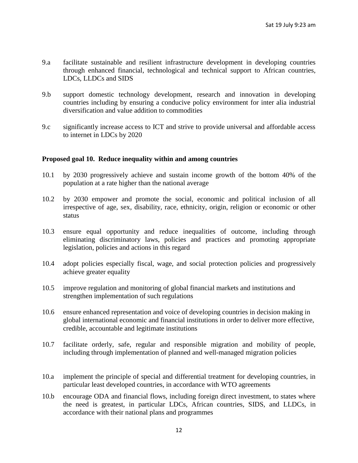- 9.a facilitate sustainable and resilient infrastructure development in developing countries through enhanced financial, technological and technical support to African countries, LDCs, LLDCs and SIDS
- 9.b support domestic technology development, research and innovation in developing countries including by ensuring a conducive policy environment for inter alia industrial diversification and value addition to commodities
- 9.c significantly increase access to ICT and strive to provide universal and affordable access to internet in LDCs by 2020

### **Proposed goal 10. Reduce inequality within and among countries**

- 10.1 by 2030 progressively achieve and sustain income growth of the bottom 40% of the population at a rate higher than the national average
- 10.2 by 2030 empower and promote the social, economic and political inclusion of all irrespective of age, sex, disability, race, ethnicity, origin, religion or economic or other status
- 10.3 ensure equal opportunity and reduce inequalities of outcome, including through eliminating discriminatory laws, policies and practices and promoting appropriate legislation, policies and actions in this regard
- 10.4 adopt policies especially fiscal, wage, and social protection policies and progressively achieve greater equality
- 10.5 improve regulation and monitoring of global financial markets and institutions and strengthen implementation of such regulations
- 10.6 ensure enhanced representation and voice of developing countries in decision making in global international economic and financial institutions in order to deliver more effective, credible, accountable and legitimate institutions
- 10.7 facilitate orderly, safe, regular and responsible migration and mobility of people, including through implementation of planned and well-managed migration policies
- 10.a implement the principle of special and differential treatment for developing countries, in particular least developed countries, in accordance with WTO agreements
- 10.b encourage ODA and financial flows, including foreign direct investment, to states where the need is greatest, in particular LDCs, African countries, SIDS, and LLDCs, in accordance with their national plans and programmes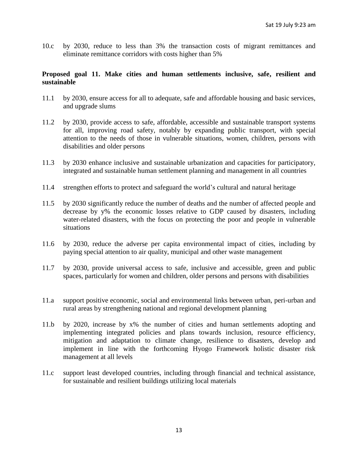10.c by 2030, reduce to less than 3% the transaction costs of migrant remittances and eliminate remittance corridors with costs higher than 5%

## **Proposed goal 11. Make cities and human settlements inclusive, safe, resilient and sustainable**

- 11.1 by 2030, ensure access for all to adequate, safe and affordable housing and basic services, and upgrade slums
- 11.2 by 2030, provide access to safe, affordable, accessible and sustainable transport systems for all, improving road safety, notably by expanding public transport, with special attention to the needs of those in vulnerable situations, women, children, persons with disabilities and older persons
- 11.3 by 2030 enhance inclusive and sustainable urbanization and capacities for participatory, integrated and sustainable human settlement planning and management in all countries
- 11.4 strengthen efforts to protect and safeguard the world's cultural and natural heritage
- 11.5 by 2030 significantly reduce the number of deaths and the number of affected people and decrease by y% the economic losses relative to GDP caused by disasters, including water-related disasters, with the focus on protecting the poor and people in vulnerable situations
- 11.6 by 2030, reduce the adverse per capita environmental impact of cities, including by paying special attention to air quality, municipal and other waste management
- 11.7 by 2030, provide universal access to safe, inclusive and accessible, green and public spaces, particularly for women and children, older persons and persons with disabilities
- 11.a support positive economic, social and environmental links between urban, peri-urban and rural areas by strengthening national and regional development planning
- 11.b by 2020, increase by x% the number of cities and human settlements adopting and implementing integrated policies and plans towards inclusion, resource efficiency, mitigation and adaptation to climate change, resilience to disasters, develop and implement in line with the forthcoming Hyogo Framework holistic disaster risk management at all levels
- 11.c support least developed countries, including through financial and technical assistance, for sustainable and resilient buildings utilizing local materials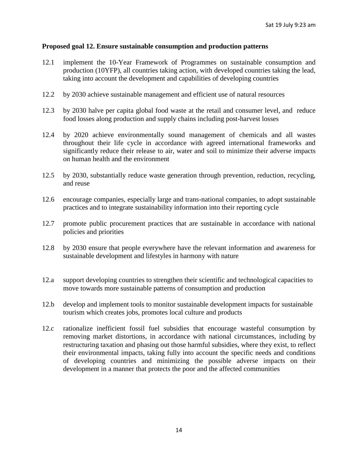#### **Proposed goal 12. Ensure sustainable consumption and production patterns**

- 12.1 implement the 10-Year Framework of Programmes on sustainable consumption and production (10YFP), all countries taking action, with developed countries taking the lead, taking into account the development and capabilities of developing countries
- 12.2 by 2030 achieve sustainable management and efficient use of natural resources
- 12.3 by 2030 halve per capita global food waste at the retail and consumer level, and reduce food losses along production and supply chains including post-harvest losses
- 12.4 by 2020 achieve environmentally sound management of chemicals and all wastes throughout their life cycle in accordance with agreed international frameworks and significantly reduce their release to air, water and soil to minimize their adverse impacts on human health and the environment
- 12.5 by 2030, substantially reduce waste generation through prevention, reduction, recycling, and reuse
- 12.6 encourage companies, especially large and trans-national companies, to adopt sustainable practices and to integrate sustainability information into their reporting cycle
- 12.7 promote public procurement practices that are sustainable in accordance with national policies and priorities
- 12.8 by 2030 ensure that people everywhere have the relevant information and awareness for sustainable development and lifestyles in harmony with nature
- 12.a support developing countries to strengthen their scientific and technological capacities to move towards more sustainable patterns of consumption and production
- 12.b develop and implement tools to monitor sustainable development impacts for sustainable tourism which creates jobs, promotes local culture and products
- 12.c rationalize inefficient fossil fuel subsidies that encourage wasteful consumption by removing market distortions, in accordance with national circumstances, including by restructuring taxation and phasing out those harmful subsidies, where they exist, to reflect their environmental impacts, taking fully into account the specific needs and conditions of developing countries and minimizing the possible adverse impacts on their development in a manner that protects the poor and the affected communities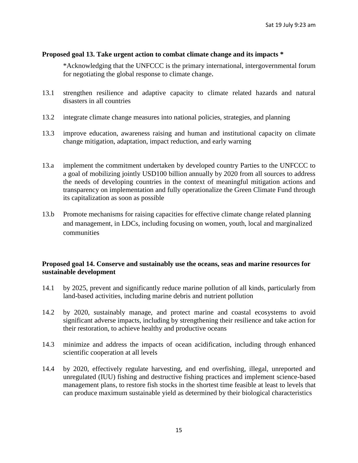# **Proposed goal 13. Take urgent action to combat climate change and its impacts \***

\*Acknowledging that the UNFCCC is the primary international, intergovernmental forum for negotiating the global response to climate change**.**

- 13.1 strengthen resilience and adaptive capacity to climate related hazards and natural disasters in all countries
- 13.2 integrate climate change measures into national policies, strategies, and planning
- 13.3 improve education, awareness raising and human and institutional capacity on climate change mitigation, adaptation, impact reduction, and early warning
- 13.a implement the commitment undertaken by developed country Parties to the UNFCCC to a goal of mobilizing jointly USD100 billion annually by 2020 from all sources to address the needs of developing countries in the context of meaningful mitigation actions and transparency on implementation and fully operationalize the Green Climate Fund through its capitalization as soon as possible
- 13.b Promote mechanisms for raising capacities for effective climate change related planning and management, in LDCs, including focusing on women, youth, local and marginalized communities

# **Proposed goal 14. Conserve and sustainably use the oceans, seas and marine resources for sustainable development**

- 14.1 by 2025, prevent and significantly reduce marine pollution of all kinds, particularly from land-based activities, including marine debris and nutrient pollution
- 14.2 by 2020, sustainably manage, and protect marine and coastal ecosystems to avoid significant adverse impacts, including by strengthening their resilience and take action for their restoration, to achieve healthy and productive oceans
- 14.3 minimize and address the impacts of ocean acidification, including through enhanced scientific cooperation at all levels
- 14.4 by 2020, effectively regulate harvesting, and end overfishing, illegal, unreported and unregulated (IUU) fishing and destructive fishing practices and implement science-based management plans, to restore fish stocks in the shortest time feasible at least to levels that can produce maximum sustainable yield as determined by their biological characteristics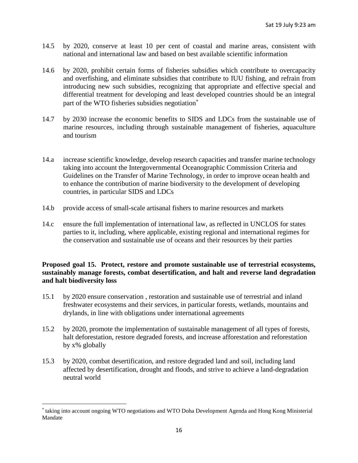- 14.5 by 2020, conserve at least 10 per cent of coastal and marine areas, consistent with national and international law and based on best available scientific information
- 14.6 by 2020, prohibit certain forms of fisheries subsidies which contribute to overcapacity and overfishing, and eliminate subsidies that contribute to IUU fishing, and refrain from introducing new such subsidies, recognizing that appropriate and effective special and differential treatment for developing and least developed countries should be an integral part of the WTO fisheries subsidies negotiation
- 14.7 by 2030 increase the economic benefits to SIDS and LDCs from the sustainable use of marine resources, including through sustainable management of fisheries, aquaculture and tourism
- 14.a increase scientific knowledge, develop research capacities and transfer marine technology taking into account the Intergovernmental Oceanographic Commission Criteria and Guidelines on the Transfer of Marine Technology, in order to improve ocean health and to enhance the contribution of marine biodiversity to the development of developing countries, in particular SIDS and LDCs
- 14.b provide access of small-scale artisanal fishers to marine resources and markets
- 14.c ensure the full implementation of international law, as reflected in UNCLOS for states parties to it, including, where applicable, existing regional and international regimes for the conservation and sustainable use of oceans and their resources by their parties

# **Proposed goal 15. Protect, restore and promote sustainable use of terrestrial ecosystems, sustainably manage forests, combat desertification, and halt and reverse land degradation and halt biodiversity loss**

- 15.1 by 2020 ensure conservation , restoration and sustainable use of terrestrial and inland freshwater ecosystems and their services, in particular forests, wetlands, mountains and drylands, in line with obligations under international agreements
- 15.2 by 2020, promote the implementation of sustainable management of all types of forests, halt deforestation, restore degraded forests, and increase afforestation and reforestation by x% globally
- 15.3 by 2020, combat desertification, and restore degraded land and soil, including land affected by desertification, drought and floods, and strive to achieve a land-degradation neutral world

 $\overline{a}$ 

taking into account ongoing WTO negotiations and WTO Doha Development Agenda and Hong Kong Ministerial Mandate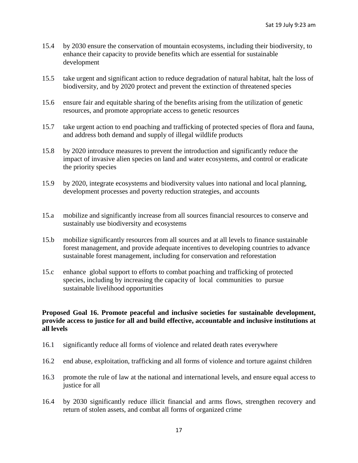- 15.4 by 2030 ensure the conservation of mountain ecosystems, including their biodiversity, to enhance their capacity to provide benefits which are essential for sustainable development
- 15.5 take urgent and significant action to reduce degradation of natural habitat, halt the loss of biodiversity, and by 2020 protect and prevent the extinction of threatened species
- 15.6 ensure fair and equitable sharing of the benefits arising from the utilization of genetic resources, and promote appropriate access to genetic resources
- 15.7 take urgent action to end poaching and trafficking of protected species of flora and fauna, and address both demand and supply of illegal wildlife products
- 15.8 by 2020 introduce measures to prevent the introduction and significantly reduce the impact of invasive alien species on land and water ecosystems, and control or eradicate the priority species
- 15.9 by 2020, integrate ecosystems and biodiversity values into national and local planning, development processes and poverty reduction strategies, and accounts
- 15.a mobilize and significantly increase from all sources financial resources to conserve and sustainably use biodiversity and ecosystems
- 15.b mobilize significantly resources from all sources and at all levels to finance sustainable forest management, and provide adequate incentives to developing countries to advance sustainable forest management, including for conservation and reforestation
- 15.c enhance global support to efforts to combat poaching and trafficking of protected species, including by increasing the capacity of local communities to pursue sustainable livelihood opportunities

# **Proposed Goal 16. Promote peaceful and inclusive societies for sustainable development, provide access to justice for all and build effective, accountable and inclusive institutions at all levels**

- 16.1 significantly reduce all forms of violence and related death rates everywhere
- 16.2 end abuse, exploitation, trafficking and all forms of violence and torture against children
- 16.3 promote the rule of law at the national and international levels, and ensure equal access to justice for all
- 16.4 by 2030 significantly reduce illicit financial and arms flows, strengthen recovery and return of stolen assets, and combat all forms of organized crime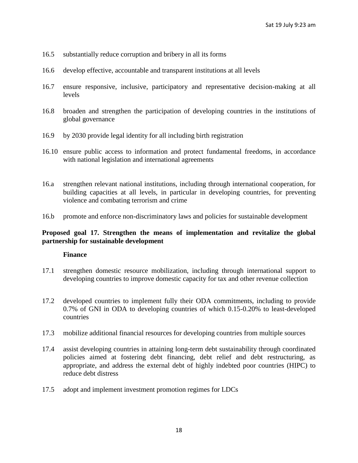- 16.5 substantially reduce corruption and bribery in all its forms
- 16.6 develop effective, accountable and transparent institutions at all levels
- 16.7 ensure responsive, inclusive, participatory and representative decision-making at all levels
- 16.8 broaden and strengthen the participation of developing countries in the institutions of global governance
- 16.9 by 2030 provide legal identity for all including birth registration
- 16.10 ensure public access to information and protect fundamental freedoms, in accordance with national legislation and international agreements
- 16.a strengthen relevant national institutions, including through international cooperation, for building capacities at all levels, in particular in developing countries, for preventing violence and combating terrorism and crime
- 16.b promote and enforce non-discriminatory laws and policies for sustainable development

# **Proposed goal 17. Strengthen the means of implementation and revitalize the global partnership for sustainable development**

#### **Finance**

- 17.1 strengthen domestic resource mobilization, including through international support to developing countries to improve domestic capacity for tax and other revenue collection
- 17.2 developed countries to implement fully their ODA commitments, including to provide 0.7% of GNI in ODA to developing countries of which 0.15-0.20% to least-developed countries
- 17.3 mobilize additional financial resources for developing countries from multiple sources
- 17.4 assist developing countries in attaining long-term debt sustainability through coordinated policies aimed at fostering debt financing, debt relief and debt restructuring, as appropriate, and address the external debt of highly indebted poor countries (HIPC) to reduce debt distress
- 17.5 adopt and implement investment promotion regimes for LDCs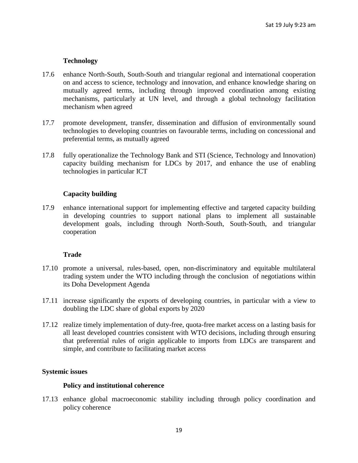# **Technology**

- 17.6 enhance North-South, South-South and triangular regional and international cooperation on and access to science, technology and innovation, and enhance knowledge sharing on mutually agreed terms, including through improved coordination among existing mechanisms, particularly at UN level, and through a global technology facilitation mechanism when agreed
- 17.7 promote development, transfer, dissemination and diffusion of environmentally sound technologies to developing countries on favourable terms, including on concessional and preferential terms, as mutually agreed
- 17.8 fully operationalize the Technology Bank and STI (Science, Technology and Innovation) capacity building mechanism for LDCs by 2017, and enhance the use of enabling technologies in particular ICT

# **Capacity building**

17.9 enhance international support for implementing effective and targeted capacity building in developing countries to support national plans to implement all sustainable development goals, including through North-South, South-South, and triangular cooperation

# **Trade**

- 17.10 promote a universal, rules-based, open, non-discriminatory and equitable multilateral trading system under the WTO including through the conclusion of negotiations within its Doha Development Agenda
- 17.11 increase significantly the exports of developing countries, in particular with a view to doubling the LDC share of global exports by 2020
- 17.12 realize timely implementation of duty-free, quota-free market access on a lasting basis for all least developed countries consistent with WTO decisions, including through ensuring that preferential rules of origin applicable to imports from LDCs are transparent and simple, and contribute to facilitating market access

# **Systemic issues**

#### **Policy and institutional coherence**

17.13 enhance global macroeconomic stability including through policy coordination and policy coherence